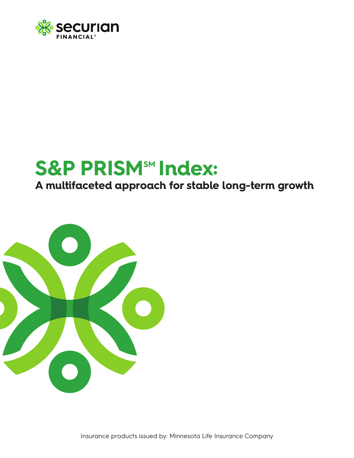

# **S&P PRISMSM Index:**

**A multifaceted approach for stable long-term growth**

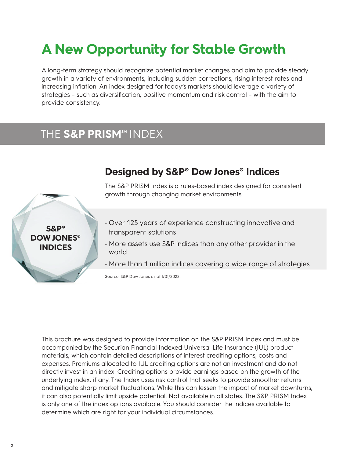## **A New Opportunity for Stable Growth**

A long-term strategy should recognize potential market changes and aim to provide steady growth in a variety of environments, including sudden corrections, rising interest rates and increasing inflation. An index designed for today's markets should leverage a variety of strategies – such as diversification, positive momentum and risk control – with the aim to provide consistency.

#### THE S&P PRISM<sup>SM</sup> INDEX



**Designed by S&P® Dow Jones® Indices**

The S&P PRISM Index is a rules-based index designed for consistent growth through changing market environments.

- Over 125 years of experience constructing innovative and transparent solutions
- More assets use S&P indices than any other provider in the world
- More than 1 million indices covering a wide range of strategies

Source: S&P Dow Jones as of 1/01/2022.

This brochure was designed to provide information on the S&P PRISM Index and must be accompanied by the Securian Financial Indexed Universal Life Insurance (IUL) product materials, which contain detailed descriptions of interest crediting options, costs and expenses. Premiums allocated to IUL crediting options are not an investment and do not directly invest in an index. Crediting options provide earnings based on the growth of the underlying index, if any. The Index uses risk control that seeks to provide smoother returns and mitigate sharp market fluctuations. While this can lessen the impact of market downturns, it can also potentially limit upside potential. Not available in all states. The S&P PRISM Index is only one of the index options available. You should consider the indices available to determine which are right for your individual circumstances.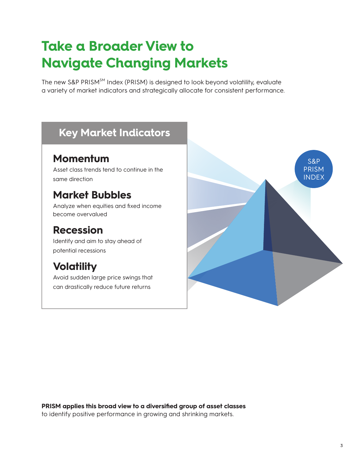### **Take a Broader View to Navigate Changing Markets**

The new S&P PRISM<sup>SM</sup> Index (PRISM) is designed to look beyond volatility, evaluate a variety of market indicators and strategically allocate for consistent performance.

### **Key Market Indicators**

#### **Momentum**

Asset class trends tend to continue in the same direction

### **Market Bubbles**

Analyze when equities and fixed income become overvalued

#### **Recession**

Identify and aim to stay ahead of potential recessions

### **Volatility**

Avoid sudden large price swings that can drastically reduce future returns



**PRISM applies this broad view to a diversified group of asset classes** to identify positive performance in growing and shrinking markets.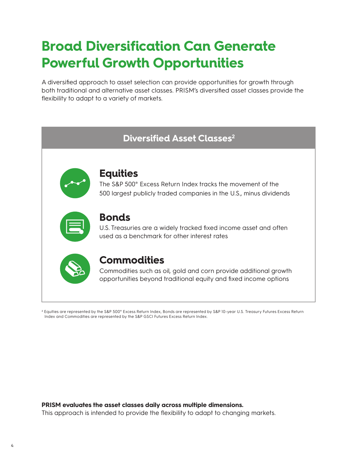### **Broad Diversification Can Generate Powerful Growth Opportunities**

A diversified approach to asset selection can provide opportunities for growth through both traditional and alternative asset classes. PRISM's diversified asset classes provide the flexibility to adapt to a variety of markets.



Index and Commodities are represented by the S&P GSCI Futures Excess Return Index.

#### **PRISM evaluates the asset classes daily across multiple dimensions.**

This approach is intended to provide the flexibility to adapt to changing markets.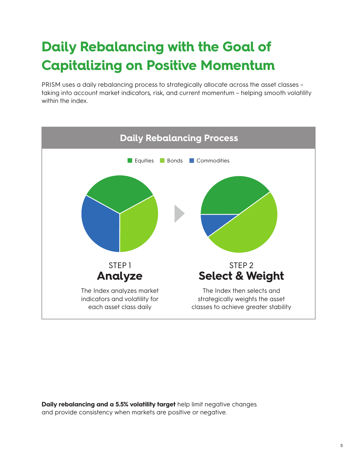## **Daily Rebalancing with the Goal of Capitalizing on Positive Momentum**

PRISM uses a daily rebalancing process to strategically allocate across the asset classes – taking into account market indicators, risk, and current momentum – helping smooth volatility within the index.



**Daily rebalancing and a 5.5% volatility target** help limit negative changes and provide consistency when markets are positive or negative.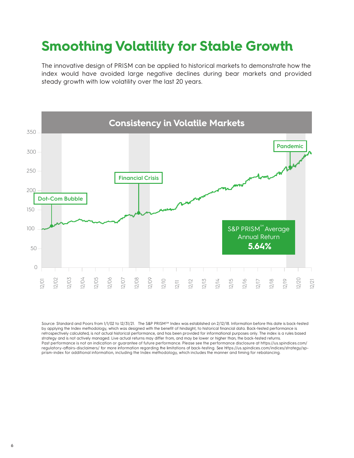### **Smoothing Volatility for Stable Growth**

The innovative design of PRISM can be applied to historical markets to demonstrate how the index would have avoided large negative declines during bear markets and provided steady growth with low volatility over the last 20 years.



Source: Standard and Poors from 1/1/02 to 12/31/21. The S&P PRISM<sup>SM</sup> Index was established on 2/12/18. Information before this date is back-tested by applying the Index methodology, which was designed with the benefit of hindsight, to historical financial data. Back-tested performance is retrospectively calculated, is not actual historical performance, and has been provided for informational purposes only. The index is a rules based strategy and is not actively managed. Live actual returns may differ from, and may be lower or higher than, the back-tested returns. Past performance is not an indication or guarantee of future performance. Please see the performance disclosure at https://us.spindices.com/ regulatory-affairs-disclaimers/ for more information regarding the limitations of back-testing. See https://us.spindices.com/indices/strategy/spprism-index for additional information, including the Index methodology, which includes the manner and timing for rebalancing.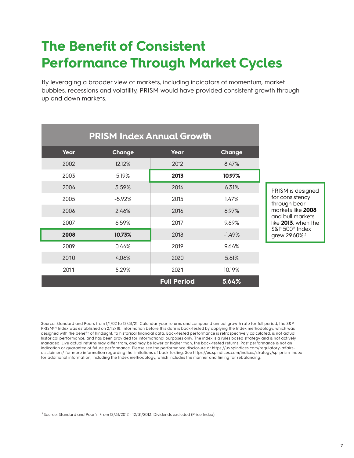### **The Benefit of Consistent Performance Through Market Cycles**

By leveraging a broader view of markets, including indicators of momentum, market bubbles, recessions and volatility, PRISM would have provided consistent growth through up and down markets.

|      | <b>PRISM Index Annual Growth</b> |                    |               |
|------|----------------------------------|--------------------|---------------|
| Year | Change                           | Year               | <b>Change</b> |
| 2002 | 12.12%                           | 2012               | 8.47%         |
| 2003 | 5.19%                            | 2013               | 10.97%        |
| 2004 | 5.59%                            | 2014               | 6.31%         |
| 2005 | $-5.92%$                         | 2015               | 1.47%         |
| 2006 | 2.46%                            | 2016               | 6.97%         |
| 2007 | 6.59%                            | 2017               | 9.69%         |
| 2008 | 10.73%                           | 2018               | $-1.49%$      |
| 2009 | 0.44%                            | 2019               | 9.64%         |
| 2010 | 4.06%                            | 2020               | 5.61%         |
| 2011 | 5.29%                            | 2021               | 10.19%        |
|      |                                  | <b>Full Period</b> | 5.64%         |

Source: Standard and Poors from 1/1/02 to 12/31/21. Calendar year returns and compound annual growth rate for full period, the S&P PRISM<sup>SM</sup> Index was established on 2/12/18. Information before this date is back-tested by applying the Index methodology, which was designed with the benefit of hindsight, to historical financial data. Back-tested performance is retrospectively calculated, is not actual historical performance, and has been provided for informational purposes only. The index is a rules based strategy and is not actively managed. Live actual returns may differ from, and may be lower or higher than, the back-tested returns. Past performance is not an indication or guarantee of future performance. Please see the performance disclosure at https://us.spindices.com/regulatory-affairsdisclaimers/ for more information regarding the limitations of back-testing. See https://us.spindices.com/indices/strategy/sp-prism-index for additional information, including the Index methodology, which includes the manner and timing for rebalancing.

<sup>3</sup> Source: Standard and Poor's. From 12/31/2012 - 12/31/2013. Dividends excluded (Price Index).